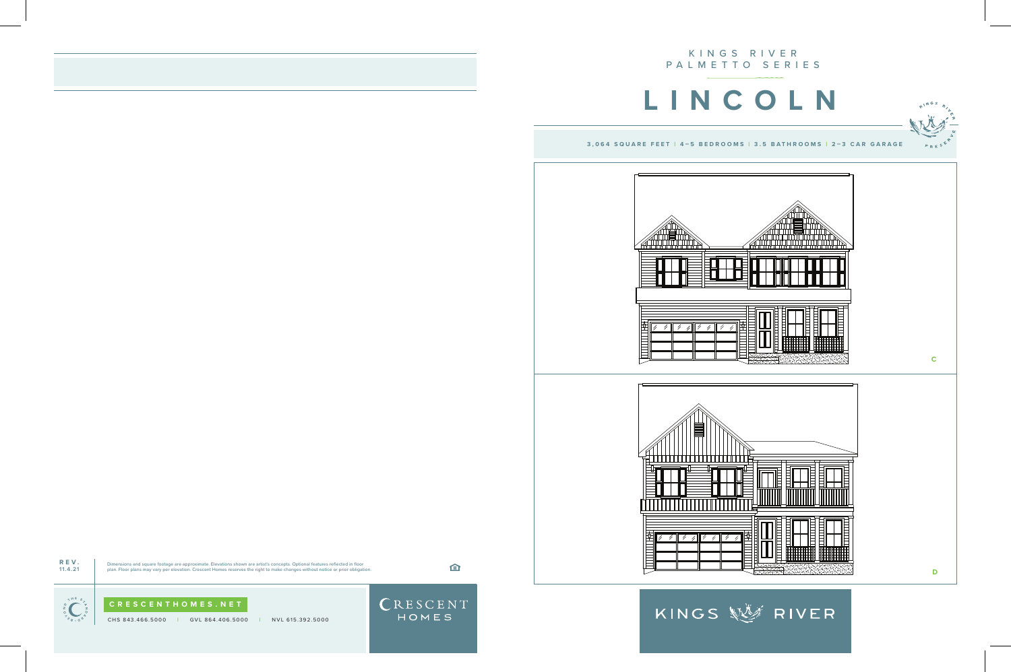CHS 843.466.5000 **|** GVL 864.406.5000 **|** NVL 615.392.5000

CRESCENT

KINGS 經濟 RIVER







**REV. 11.4.21**

Dimensions and square footage are approximate. Elevations shown are artist's concepts. Optional features reflected in floor<br>plan. Floor plans may vary per elevation. Crescent Homes reserves the right to make changes withou

白

 $\begin{bmatrix} 2 \ 2 \ 3 \ 5 \ 6 \ 7 \end{bmatrix}$   $\begin{bmatrix} 7 \ 7 \ 8 \ 7 \end{bmatrix}$  **CRESCENTHOMES.NET**<br>
CHS 843.466.5000 | GVL 864.406.500